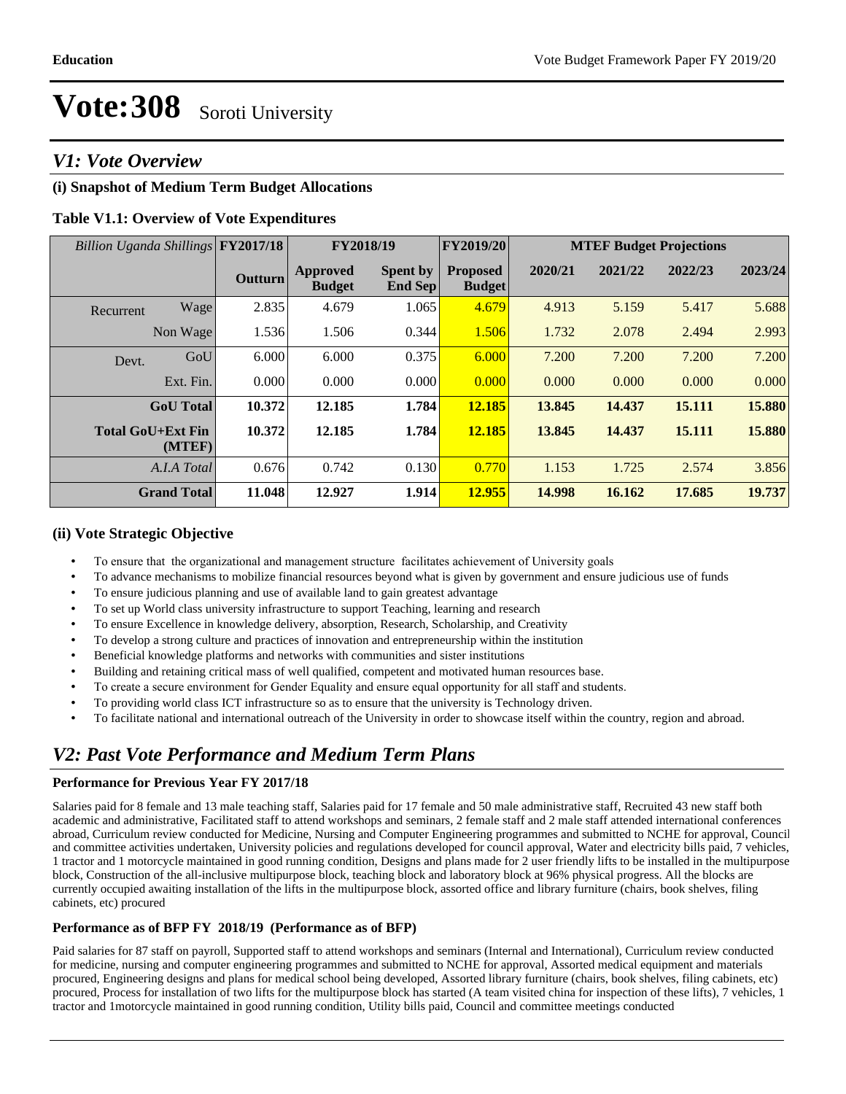# *V1: Vote Overview*

### **(i) Snapshot of Medium Term Budget Allocations**

#### **Table V1.1: Overview of Vote Expenditures**

| Billion Uganda Shillings FY2017/18 |                             |         | FY2018/19                 |                                   | FY2019/20                        | <b>MTEF Budget Projections</b> |         |         |         |
|------------------------------------|-----------------------------|---------|---------------------------|-----------------------------------|----------------------------------|--------------------------------|---------|---------|---------|
|                                    |                             | Outturn | Approved<br><b>Budget</b> | <b>Spent by</b><br><b>End Sep</b> | <b>Proposed</b><br><b>Budget</b> | 2020/21                        | 2021/22 | 2022/23 | 2023/24 |
| Recurrent                          | Wage                        | 2.835   | 4.679                     | 1.065                             | 4.679                            | 4.913                          | 5.159   | 5.417   | 5.688   |
|                                    | Non Wage                    | 1.536   | 1.506                     | 0.344                             | 1.506                            | 1.732                          | 2.078   | 2.494   | 2.993   |
| Devt.                              | GoU                         | 6.000   | 6.000                     | 0.375                             | 6.000                            | 7.200                          | 7.200   | 7.200   | 7.200   |
|                                    | Ext. Fin.                   | 0.000   | 0.000                     | 0.000                             | 0.000                            | 0.000                          | 0.000   | 0.000   | 0.000   |
|                                    | <b>GoU</b> Total            | 10.372  | 12.185                    | 1.784                             | 12.185                           | 13.845                         | 14.437  | 15.111  | 15.880  |
|                                    | Total GoU+Ext Fin<br>(MTEF) | 10.372  | 12.185                    | 1.784                             | 12.185                           | 13.845                         | 14.437  | 15.111  | 15.880  |
|                                    | A.I.A Total                 | 0.676   | 0.742                     | 0.130                             | 0.770                            | 1.153                          | 1.725   | 2.574   | 3.856   |
|                                    | <b>Grand Total</b>          | 11.048  | 12.927                    | 1.914                             | 12.955                           | 14.998                         | 16.162  | 17.685  | 19.737  |

#### **(ii) Vote Strategic Objective**

- To ensure that the organizational and management structure facilitates achievement of University goals
- To advance mechanisms to mobilize financial resources beyond what is given by government and ensure judicious use of funds
- To ensure judicious planning and use of available land to gain greatest advantage
- To set up World class university infrastructure to support Teaching, learning and research
- To ensure Excellence in knowledge delivery, absorption, Research, Scholarship, and Creativity
- To develop a strong culture and practices of innovation and entrepreneurship within the institution
- Beneficial knowledge platforms and networks with communities and sister institutions
- Building and retaining critical mass of well qualified, competent and motivated human resources base.
- To create a secure environment for Gender Equality and ensure equal opportunity for all staff and students.
- To providing world class ICT infrastructure so as to ensure that the university is Technology driven.
- To facilitate national and international outreach of the University in order to showcase itself within the country, region and abroad.

# *V2: Past Vote Performance and Medium Term Plans*

#### **Performance for Previous Year FY 2017/18**

Salaries paid for 8 female and 13 male teaching staff, Salaries paid for 17 female and 50 male administrative staff, Recruited 43 new staff both academic and administrative, Facilitated staff to attend workshops and seminars, 2 female staff and 2 male staff attended international conferences abroad, Curriculum review conducted for Medicine, Nursing and Computer Engineering programmes and submitted to NCHE for approval, Council and committee activities undertaken, University policies and regulations developed for council approval, Water and electricity bills paid, 7 vehicles, 1 tractor and 1 motorcycle maintained in good running condition, Designs and plans made for 2 user friendly lifts to be installed in the multipurpose block, Construction of the all-inclusive multipurpose block, teaching block and laboratory block at 96% physical progress. All the blocks are currently occupied awaiting installation of the lifts in the multipurpose block, assorted office and library furniture (chairs, book shelves, filing cabinets, etc) procured

#### **Performance as of BFP FY 2018/19 (Performance as of BFP)**

Paid salaries for 87 staff on payroll, Supported staff to attend workshops and seminars (Internal and International), Curriculum review conducted for medicine, nursing and computer engineering programmes and submitted to NCHE for approval, Assorted medical equipment and materials procured, Engineering designs and plans for medical school being developed, Assorted library furniture (chairs, book shelves, filing cabinets, etc) procured, Process for installation of two lifts for the multipurpose block has started (A team visited china for inspection of these lifts), 7 vehicles, 1 tractor and 1motorcycle maintained in good running condition, Utility bills paid, Council and committee meetings conducted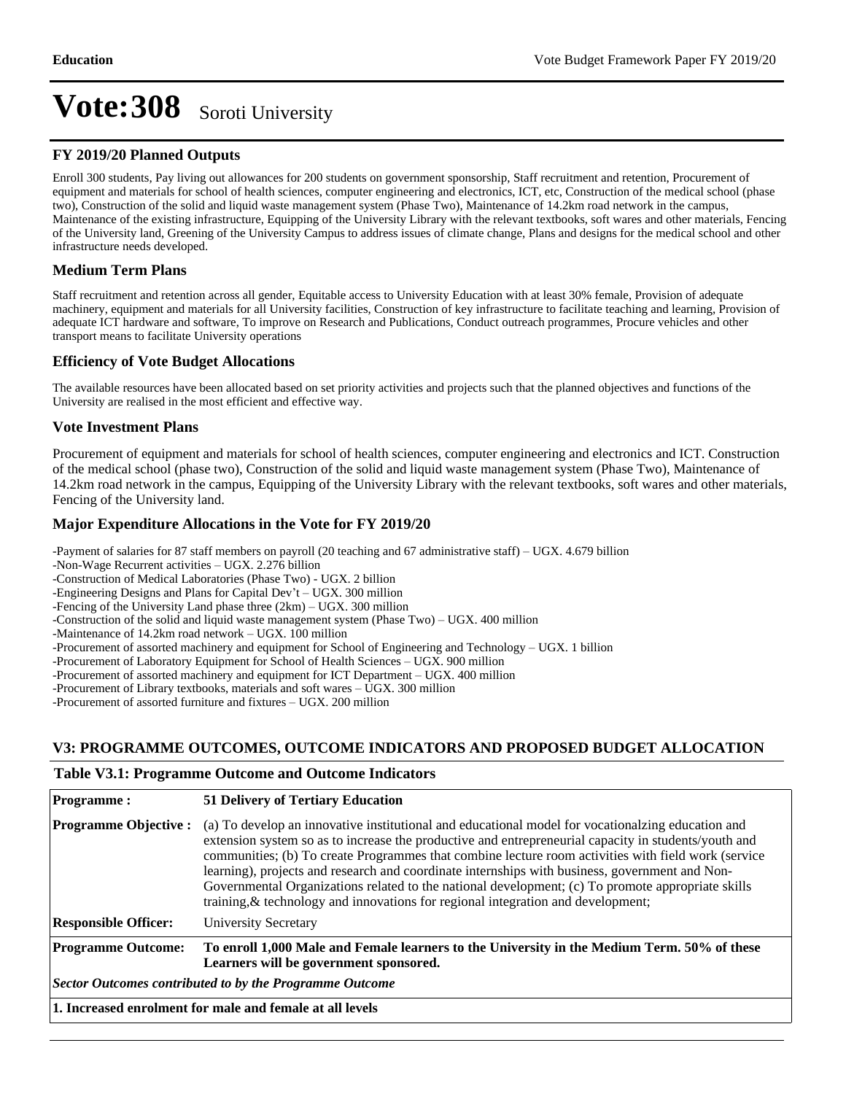#### **FY 2019/20 Planned Outputs**

Enroll 300 students, Pay living out allowances for 200 students on government sponsorship, Staff recruitment and retention, Procurement of equipment and materials for school of health sciences, computer engineering and electronics, ICT, etc, Construction of the medical school (phase two), Construction of the solid and liquid waste management system (Phase Two), Maintenance of 14.2km road network in the campus, Maintenance of the existing infrastructure, Equipping of the University Library with the relevant textbooks, soft wares and other materials, Fencing of the University land, Greening of the University Campus to address issues of climate change, Plans and designs for the medical school and other infrastructure needs developed.

#### **Medium Term Plans**

Staff recruitment and retention across all gender, Equitable access to University Education with at least 30% female, Provision of adequate machinery, equipment and materials for all University facilities, Construction of key infrastructure to facilitate teaching and learning, Provision of adequate ICT hardware and software, To improve on Research and Publications, Conduct outreach programmes, Procure vehicles and other transport means to facilitate University operations

#### **Efficiency of Vote Budget Allocations**

The available resources have been allocated based on set priority activities and projects such that the planned objectives and functions of the University are realised in the most efficient and effective way.

#### **Vote Investment Plans**

Procurement of equipment and materials for school of health sciences, computer engineering and electronics and ICT. Construction of the medical school (phase two), Construction of the solid and liquid waste management system (Phase Two), Maintenance of 14.2km road network in the campus, Equipping of the University Library with the relevant textbooks, soft wares and other materials, Fencing of the University land.

#### **Major Expenditure Allocations in the Vote for FY 2019/20**

-Payment of salaries for 87 staff members on payroll (20 teaching and 67 administrative staff) – UGX. 4.679 billion -Non-Wage Recurrent activities – UGX. 2.276 billion -Construction of Medical Laboratories (Phase Two) - UGX. 2 billion -Engineering Designs and Plans for Capital Dev't  $-$  UGX. 300 million -Fencing of the University Land phase three  $(2km) - UGX$ . 300 million -Construction of the solid and liquid waste management system (Phase Two)  $-$  UGX. 400 million -Maintenance of  $14.2km$  road network  $-$  UGX. 100 million -Procurement of assorted machinery and equipment for School of Engineering and Technology - UGX. 1 billion -Procurement of Laboratory Equipment for School of Health Sciences - UGX. 900 million -Procurement of assorted machinery and equipment for ICT Department - UGX. 400 million -Procurement of Library textbooks, materials and soft wares  $-$  UGX. 300 million -Procurement of assorted furniture and fixtures - UGX. 200 million

### **V3: PROGRAMME OUTCOMES, OUTCOME INDICATORS AND PROPOSED BUDGET ALLOCATION**

#### **Table V3.1: Programme Outcome and Outcome Indicators**

| <b>Programme:</b>                                              | <b>51 Delivery of Tertiary Education</b>                                                                                                                                                                                                                                                                                                                                                                                                                                                                                                                                                                    |  |  |  |  |  |
|----------------------------------------------------------------|-------------------------------------------------------------------------------------------------------------------------------------------------------------------------------------------------------------------------------------------------------------------------------------------------------------------------------------------------------------------------------------------------------------------------------------------------------------------------------------------------------------------------------------------------------------------------------------------------------------|--|--|--|--|--|
| <b>Programme Objective:</b>                                    | (a) To develop an innovative institutional and educational model for vocationalzing education and<br>extension system so as to increase the productive and entrepreneurial capacity in students/youth and<br>communities; (b) To create Programmes that combine lecture room activities with field work (service<br>learning), projects and research and coordinate internships with business, government and Non-<br>Governmental Organizations related to the national development; (c) To promote appropriate skills<br>training, & technology and innovations for regional integration and development; |  |  |  |  |  |
| <b>Responsible Officer:</b>                                    | <b>University Secretary</b>                                                                                                                                                                                                                                                                                                                                                                                                                                                                                                                                                                                 |  |  |  |  |  |
| <b>Programme Outcome:</b>                                      | To enroll 1,000 Male and Female learners to the University in the Medium Term. 50% of these<br>Learners will be government sponsored.                                                                                                                                                                                                                                                                                                                                                                                                                                                                       |  |  |  |  |  |
| <b>Sector Outcomes contributed to by the Programme Outcome</b> |                                                                                                                                                                                                                                                                                                                                                                                                                                                                                                                                                                                                             |  |  |  |  |  |
| 1. Increased enrolment for male and female at all levels       |                                                                                                                                                                                                                                                                                                                                                                                                                                                                                                                                                                                                             |  |  |  |  |  |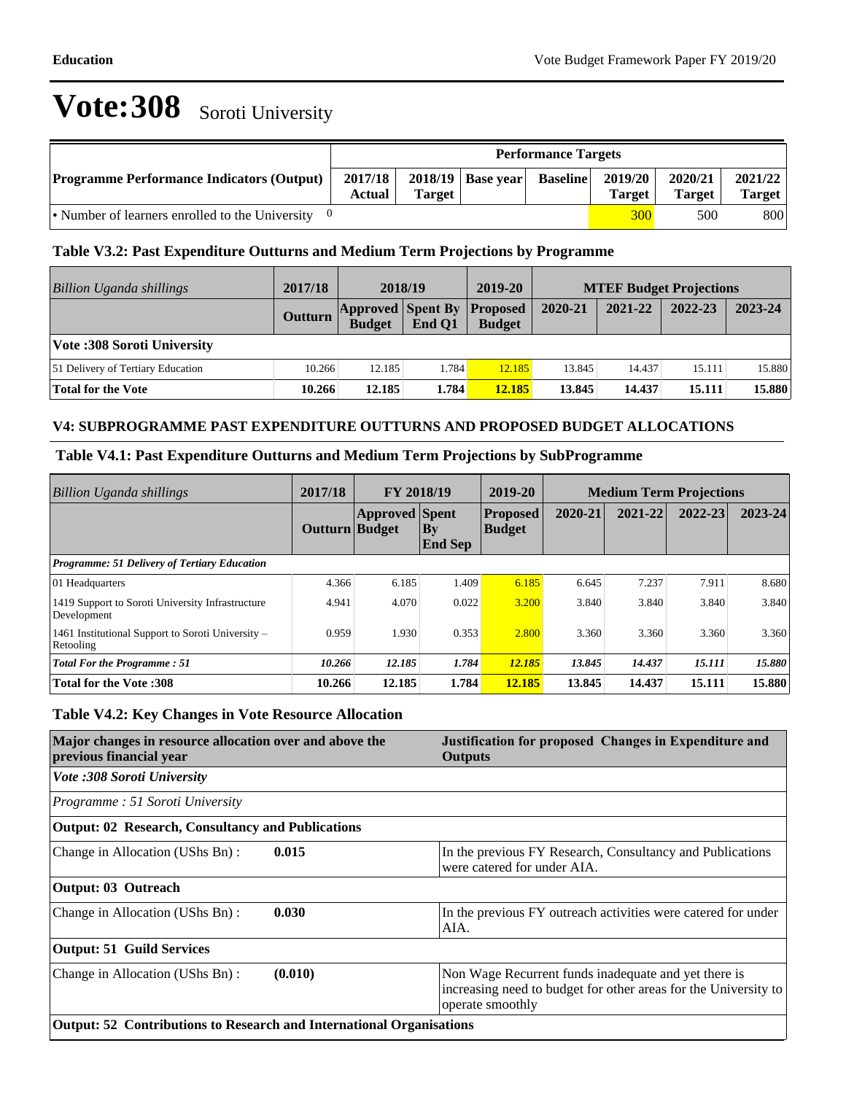|                                                  | <b>Performance Targets</b> |               |                     |                 |                          |                          |                   |  |  |
|--------------------------------------------------|----------------------------|---------------|---------------------|-----------------|--------------------------|--------------------------|-------------------|--|--|
| <b>Programme Performance Indicators (Output)</b> | 2017/18<br>Actual          | <b>Target</b> | $2018/19$ Base year | <b>Baseline</b> | 2019/20<br><b>Target</b> | 2020/21<br><b>Target</b> | 2021/22<br>Target |  |  |
| • Number of learners enrolled to the University  |                            |               |                     |                 | <b>300</b>               | 500                      | 800               |  |  |

## **Table V3.2: Past Expenditure Outturns and Medium Term Projections by Programme**

| Billion Uganda shillings            | 2017/18 | 2018/19                                            |        | 2019-20       | <b>MTEF Budget Projections</b> |         |         |         |
|-------------------------------------|---------|----------------------------------------------------|--------|---------------|--------------------------------|---------|---------|---------|
|                                     | Outturn | <b>Approved Spent By Proposed</b><br><b>Budget</b> | End O1 | <b>Budget</b> | 2020-21                        | 2021-22 | 2022-23 | 2023-24 |
| Vote: 308 Soroti University         |         |                                                    |        |               |                                |         |         |         |
| [51 Delivery of Tertiary Education] | 10.266  | 12.185                                             | 1.784  | 12.185        | 13.845                         | 14.437  | 15.111  | 15.880  |
| Total for the Vote                  | 10.266  | 12.185                                             | 1.784  | 12.185        | 13.845                         | 14.437  | 15.111  | 15.880  |

### **V4: SUBPROGRAMME PAST EXPENDITURE OUTTURNS AND PROPOSED BUDGET ALLOCATIONS**

### **Table V4.1: Past Expenditure Outturns and Medium Term Projections by SubProgramme**

| Billion Uganda shillings                                        | 2017/18        | <b>FY 2018/19</b>     |                          | 2019-20                          | <b>Medium Term Projections</b> |         |             |             |
|-----------------------------------------------------------------|----------------|-----------------------|--------------------------|----------------------------------|--------------------------------|---------|-------------|-------------|
|                                                                 | Outturn Budget | <b>Approved</b> Spent | $ $ By<br><b>End Sep</b> | <b>Proposed</b><br><b>Budget</b> | 2020-21                        | 2021-22 | $2022 - 23$ | $2023 - 24$ |
| <b>Programme: 51 Delivery of Tertiary Education</b>             |                |                       |                          |                                  |                                |         |             |             |
| 01 Headquarters                                                 | 4.366          | 6.185                 | 1.409                    | 6.185                            | 6.645                          | 7.237   | 7.911       | 8.680       |
| 1419 Support to Soroti University Infrastructure<br>Development | 4.941          | 4.070                 | 0.022                    | 3.200                            | 3.840                          | 3.840   | 3.840       | 3.840       |
| 1461 Institutional Support to Soroti University –<br>Retooling  | 0.959          | 1.930                 | 0.353                    | 2.800                            | 3.360                          | 3.360   | 3.360       | 3.360       |
| <b>Total For the Programme: 51</b>                              | 10.266         | 12.185                | 1.784                    | 12.185                           | 13.845                         | 14.437  | 15.111      | 15.880      |
| <b>Total for the Vote: 308</b>                                  | 10.266         | 12.185                | 1.784                    | 12.185                           | 13.845                         | 14.437  | 15.111      | 15.880      |

### **Table V4.2: Key Changes in Vote Resource Allocation**

| Major changes in resource allocation over and above the<br>previous financial year |         | Justification for proposed Changes in Expenditure and<br>Outputs                                                                            |  |  |  |  |
|------------------------------------------------------------------------------------|---------|---------------------------------------------------------------------------------------------------------------------------------------------|--|--|--|--|
| Vote :308 Soroti University                                                        |         |                                                                                                                                             |  |  |  |  |
| Programme: 51 Soroti University                                                    |         |                                                                                                                                             |  |  |  |  |
| Output: 02 Research, Consultancy and Publications                                  |         |                                                                                                                                             |  |  |  |  |
| Change in Allocation (UShs Bn):                                                    | 0.015   | In the previous FY Research, Consultancy and Publications<br>were catered for under AIA.                                                    |  |  |  |  |
| Output: 03 Outreach                                                                |         |                                                                                                                                             |  |  |  |  |
| Change in Allocation (UShs Bn):                                                    | 0.030   | In the previous FY outreach activities were catered for under<br>AIA.                                                                       |  |  |  |  |
| Output: 51 Guild Services                                                          |         |                                                                                                                                             |  |  |  |  |
| Change in Allocation (UShs Bn):                                                    | (0.010) | Non Wage Recurrent funds inadequate and yet there is<br>increasing need to budget for other areas for the University to<br>operate smoothly |  |  |  |  |
| Output: 52 Contributions to Research and International Organisations               |         |                                                                                                                                             |  |  |  |  |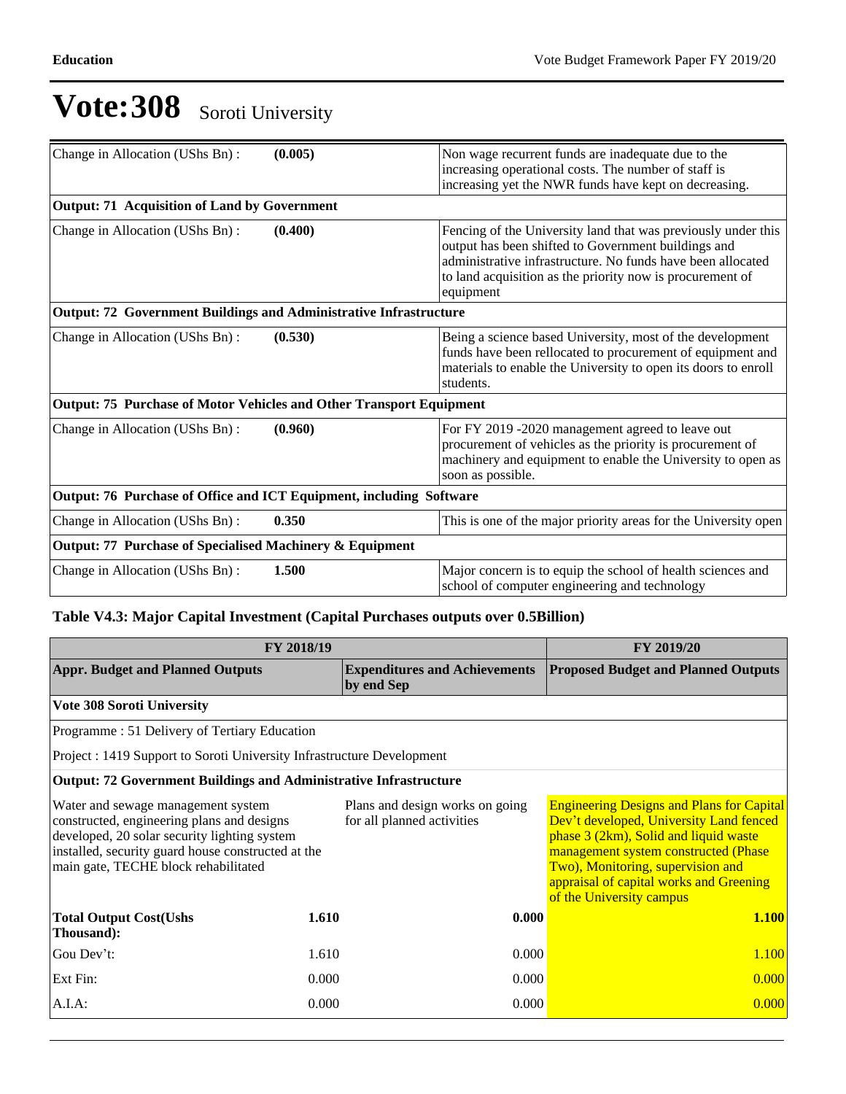| Change in Allocation (UShs Bn):                                     | (0.005) | Non wage recurrent funds are inadequate due to the                                                                                                                                                                                                            |
|---------------------------------------------------------------------|---------|---------------------------------------------------------------------------------------------------------------------------------------------------------------------------------------------------------------------------------------------------------------|
|                                                                     |         | increasing operational costs. The number of staff is                                                                                                                                                                                                          |
|                                                                     |         | increasing yet the NWR funds have kept on decreasing.                                                                                                                                                                                                         |
| <b>Output: 71 Acquisition of Land by Government</b>                 |         |                                                                                                                                                                                                                                                               |
| Change in Allocation (UShs Bn):                                     | (0.400) | Fencing of the University land that was previously under this<br>output has been shifted to Government buildings and<br>administrative infrastructure. No funds have been allocated<br>to land acquisition as the priority now is procurement of<br>equipment |
| Output: 72 Government Buildings and Administrative Infrastructure   |         |                                                                                                                                                                                                                                                               |
| Change in Allocation (UShs Bn):                                     | (0.530) | Being a science based University, most of the development<br>funds have been rellocated to procurement of equipment and<br>materials to enable the University to open its doors to enroll<br>students.                                                        |
| Output: 75 Purchase of Motor Vehicles and Other Transport Equipment |         |                                                                                                                                                                                                                                                               |
| Change in Allocation (UShs Bn):                                     | (0.960) | For FY 2019 -2020 management agreed to leave out<br>procurement of vehicles as the priority is procurement of<br>machinery and equipment to enable the University to open as<br>soon as possible.                                                             |
| Output: 76 Purchase of Office and ICT Equipment, including Software |         |                                                                                                                                                                                                                                                               |
| Change in Allocation (UShs Bn):                                     | 0.350   | This is one of the major priority areas for the University open                                                                                                                                                                                               |
| Output: 77 Purchase of Specialised Machinery & Equipment            |         |                                                                                                                                                                                                                                                               |
| Change in Allocation (UShs Bn):                                     | 1.500   | Major concern is to equip the school of health sciences and<br>school of computer engineering and technology                                                                                                                                                  |

# **Table V4.3: Major Capital Investment (Capital Purchases outputs over 0.5Billion)**

| FY 2018/19                                                                                                                                                                                                                     | <b>FY 2019/20</b>                                             |                                                                                                                                                                                                                                                                                          |
|--------------------------------------------------------------------------------------------------------------------------------------------------------------------------------------------------------------------------------|---------------------------------------------------------------|------------------------------------------------------------------------------------------------------------------------------------------------------------------------------------------------------------------------------------------------------------------------------------------|
| <b>Appr. Budget and Planned Outputs</b>                                                                                                                                                                                        | <b>Expenditures and Achievements</b><br>by end Sep            | <b>Proposed Budget and Planned Outputs</b>                                                                                                                                                                                                                                               |
| <b>Vote 308 Soroti University</b>                                                                                                                                                                                              |                                                               |                                                                                                                                                                                                                                                                                          |
| Programme: 51 Delivery of Tertiary Education                                                                                                                                                                                   |                                                               |                                                                                                                                                                                                                                                                                          |
| Project : 1419 Support to Soroti University Infrastructure Development                                                                                                                                                         |                                                               |                                                                                                                                                                                                                                                                                          |
| <b>Output: 72 Government Buildings and Administrative Infrastructure</b>                                                                                                                                                       |                                                               |                                                                                                                                                                                                                                                                                          |
| Water and sewage management system<br>constructed, engineering plans and designs<br>developed, 20 solar security lighting system<br>installed, security guard house constructed at the<br>main gate, TECHE block rehabilitated | Plans and design works on going<br>for all planned activities | <b>Engineering Designs and Plans for Capital</b><br>Dev't developed, University Land fenced<br>phase 3 (2km), Solid and liquid waste<br>management system constructed (Phase<br>Two), Monitoring, supervision and<br>appraisal of capital works and Greening<br>of the University campus |
| <b>Total Output Cost(Ushs</b><br>Thousand):                                                                                                                                                                                    | 1.610<br>0.000                                                | <b>1.100</b>                                                                                                                                                                                                                                                                             |
| Gou Dev't:                                                                                                                                                                                                                     | 1.610<br>0.000                                                | 1.100                                                                                                                                                                                                                                                                                    |
| Ext Fin:<br>0.000                                                                                                                                                                                                              | 0.000                                                         | 0.000                                                                                                                                                                                                                                                                                    |
| A.I.A.<br>0.000                                                                                                                                                                                                                | 0.000                                                         | 0.000                                                                                                                                                                                                                                                                                    |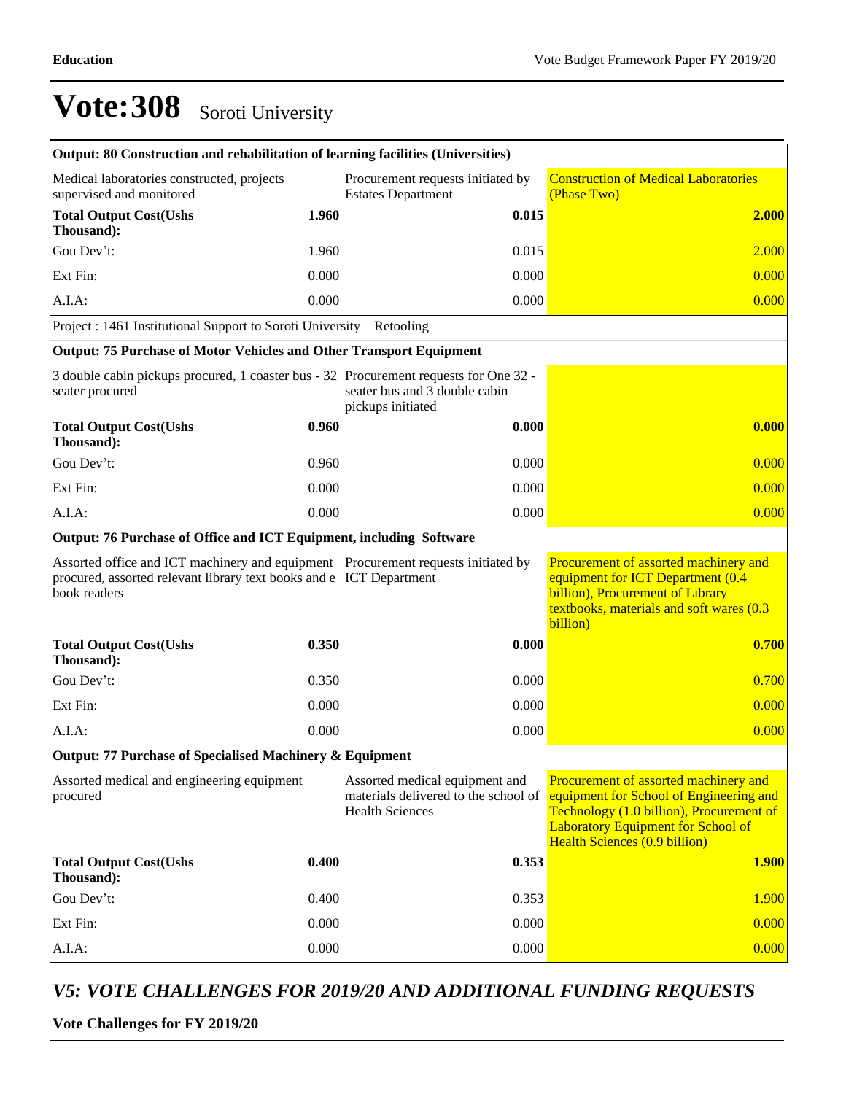| Output: 80 Construction and rehabilitation of learning facilities (Universities)                                                                                         |       |                                                                                                  |                                                                                                                                                                                                                   |
|--------------------------------------------------------------------------------------------------------------------------------------------------------------------------|-------|--------------------------------------------------------------------------------------------------|-------------------------------------------------------------------------------------------------------------------------------------------------------------------------------------------------------------------|
| Medical laboratories constructed, projects<br>supervised and monitored                                                                                                   |       | Procurement requests initiated by<br><b>Estates Department</b>                                   | <b>Construction of Medical Laboratories</b><br>(Phase Two)                                                                                                                                                        |
| <b>Total Output Cost(Ushs</b><br>Thousand):                                                                                                                              | 1.960 | 0.015                                                                                            | 2.000                                                                                                                                                                                                             |
| Gou Dev't:                                                                                                                                                               | 1.960 | 0.015                                                                                            | 2.000                                                                                                                                                                                                             |
| Ext Fin:                                                                                                                                                                 | 0.000 | 0.000                                                                                            | 0.000                                                                                                                                                                                                             |
| A.I.A:                                                                                                                                                                   | 0.000 | 0.000                                                                                            | 0.000                                                                                                                                                                                                             |
| Project : 1461 Institutional Support to Soroti University – Retooling                                                                                                    |       |                                                                                                  |                                                                                                                                                                                                                   |
| <b>Output: 75 Purchase of Motor Vehicles and Other Transport Equipment</b>                                                                                               |       |                                                                                                  |                                                                                                                                                                                                                   |
| 3 double cabin pickups procured, 1 coaster bus - 32 Procurement requests for One 32 -<br>seater procured                                                                 |       | seater bus and 3 double cabin<br>pickups initiated                                               |                                                                                                                                                                                                                   |
| <b>Total Output Cost(Ushs</b><br>Thousand):                                                                                                                              | 0.960 | 0.000                                                                                            | 0.000                                                                                                                                                                                                             |
| Gou Dev't:                                                                                                                                                               | 0.960 | 0.000                                                                                            | 0.000                                                                                                                                                                                                             |
| Ext Fin:                                                                                                                                                                 | 0.000 | 0.000                                                                                            | 0.000                                                                                                                                                                                                             |
| A.I.A.                                                                                                                                                                   | 0.000 | 0.000                                                                                            | 0.000                                                                                                                                                                                                             |
| Output: 76 Purchase of Office and ICT Equipment, including Software                                                                                                      |       |                                                                                                  |                                                                                                                                                                                                                   |
| Assorted office and ICT machinery and equipment Procurement requests initiated by<br>procured, assorted relevant library text books and e ICT Department<br>book readers |       |                                                                                                  | Procurement of assorted machinery and<br>equipment for ICT Department (0.4<br>billion), Procurement of Library<br>textbooks, materials and soft wares (0.3)<br>billion)                                           |
| <b>Total Output Cost(Ushs</b><br>Thousand):                                                                                                                              | 0.350 | 0.000                                                                                            | 0.700                                                                                                                                                                                                             |
| Gou Dev't:                                                                                                                                                               | 0.350 | 0.000                                                                                            | 0.700                                                                                                                                                                                                             |
| Ext Fin:                                                                                                                                                                 | 0.000 | 0.000                                                                                            | 0.000                                                                                                                                                                                                             |
| A.I.A:                                                                                                                                                                   | 0.000 | 0.000                                                                                            | 0.000                                                                                                                                                                                                             |
| <b>Output: 77 Purchase of Specialised Machinery &amp; Equipment</b>                                                                                                      |       |                                                                                                  |                                                                                                                                                                                                                   |
| Assorted medical and engineering equipment<br>procured                                                                                                                   |       | Assorted medical equipment and<br>materials delivered to the school of<br><b>Health Sciences</b> | Procurement of assorted machinery and<br>equipment for School of Engineering and<br>Technology (1.0 billion), Procurement of<br><b>Laboratory Equipment for School of</b><br><b>Health Sciences (0.9 billion)</b> |
| <b>Total Output Cost(Ushs</b><br>Thousand):                                                                                                                              | 0.400 | 0.353                                                                                            | <b>1.900</b>                                                                                                                                                                                                      |
| Gou Dev't:                                                                                                                                                               | 0.400 | 0.353                                                                                            | 1.900                                                                                                                                                                                                             |
| Ext Fin:                                                                                                                                                                 | 0.000 | 0.000                                                                                            | 0.000                                                                                                                                                                                                             |
| A.I.A:                                                                                                                                                                   | 0.000 | 0.000                                                                                            | 0.000                                                                                                                                                                                                             |

# *V5: VOTE CHALLENGES FOR 2019/20 AND ADDITIONAL FUNDING REQUESTS*

## **Vote Challenges for FY 2019/20**